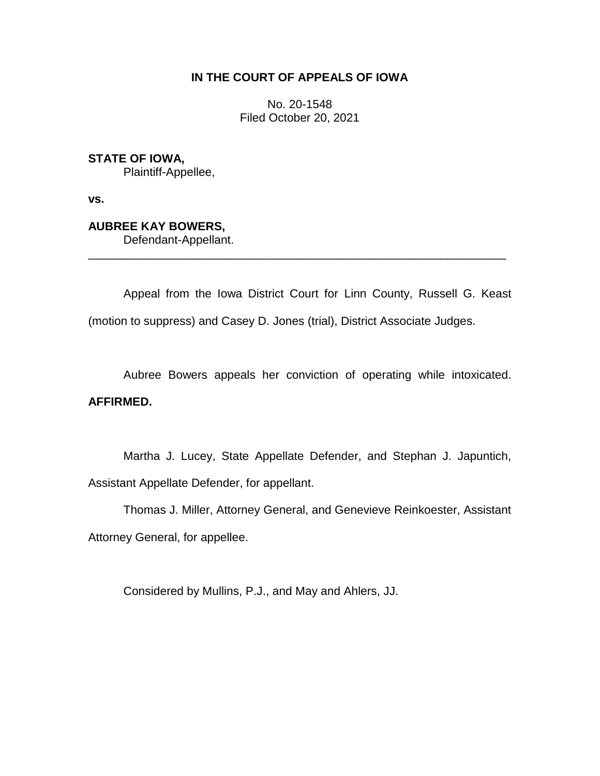# **IN THE COURT OF APPEALS OF IOWA**

No. 20-1548 Filed October 20, 2021

**STATE OF IOWA,**

Plaintiff-Appellee,

**vs.**

**AUBREE KAY BOWERS,**

Defendant-Appellant.

Appeal from the Iowa District Court for Linn County, Russell G. Keast (motion to suppress) and Casey D. Jones (trial), District Associate Judges.

\_\_\_\_\_\_\_\_\_\_\_\_\_\_\_\_\_\_\_\_\_\_\_\_\_\_\_\_\_\_\_\_\_\_\_\_\_\_\_\_\_\_\_\_\_\_\_\_\_\_\_\_\_\_\_\_\_\_\_\_\_\_\_\_

Aubree Bowers appeals her conviction of operating while intoxicated.

# **AFFIRMED.**

Martha J. Lucey, State Appellate Defender, and Stephan J. Japuntich, Assistant Appellate Defender, for appellant.

Thomas J. Miller, Attorney General, and Genevieve Reinkoester, Assistant Attorney General, for appellee.

Considered by Mullins, P.J., and May and Ahlers, JJ.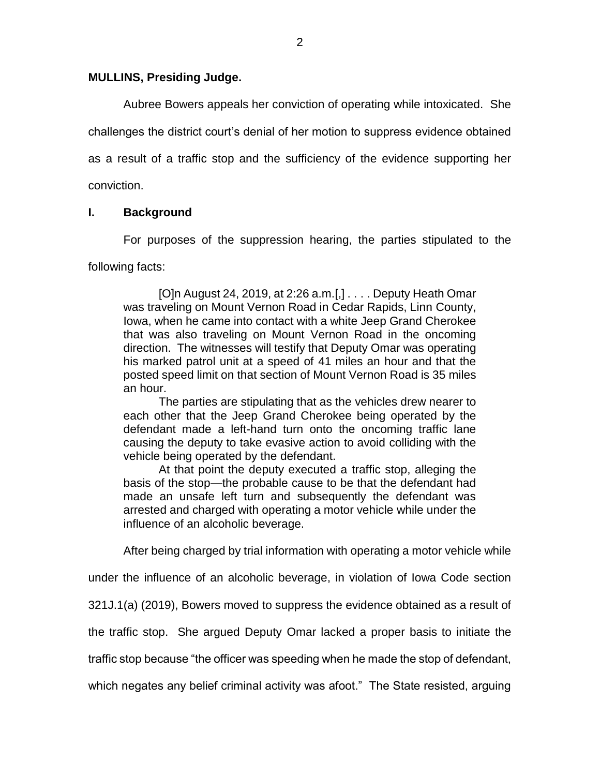## **MULLINS, Presiding Judge.**

Aubree Bowers appeals her conviction of operating while intoxicated. She challenges the district court's denial of her motion to suppress evidence obtained as a result of a traffic stop and the sufficiency of the evidence supporting her conviction.

# **I. Background**

For purposes of the suppression hearing, the parties stipulated to the

following facts:

[O]n August 24, 2019, at 2:26 a.m.[,] . . . . Deputy Heath Omar was traveling on Mount Vernon Road in Cedar Rapids, Linn County, Iowa, when he came into contact with a white Jeep Grand Cherokee that was also traveling on Mount Vernon Road in the oncoming direction. The witnesses will testify that Deputy Omar was operating his marked patrol unit at a speed of 41 miles an hour and that the posted speed limit on that section of Mount Vernon Road is 35 miles an hour.

The parties are stipulating that as the vehicles drew nearer to each other that the Jeep Grand Cherokee being operated by the defendant made a left-hand turn onto the oncoming traffic lane causing the deputy to take evasive action to avoid colliding with the vehicle being operated by the defendant.

At that point the deputy executed a traffic stop, alleging the basis of the stop—the probable cause to be that the defendant had made an unsafe left turn and subsequently the defendant was arrested and charged with operating a motor vehicle while under the influence of an alcoholic beverage.

After being charged by trial information with operating a motor vehicle while

under the influence of an alcoholic beverage, in violation of Iowa Code section

321J.1(a) (2019), Bowers moved to suppress the evidence obtained as a result of

the traffic stop. She argued Deputy Omar lacked a proper basis to initiate the

traffic stop because "the officer was speeding when he made the stop of defendant,

which negates any belief criminal activity was afoot." The State resisted, arguing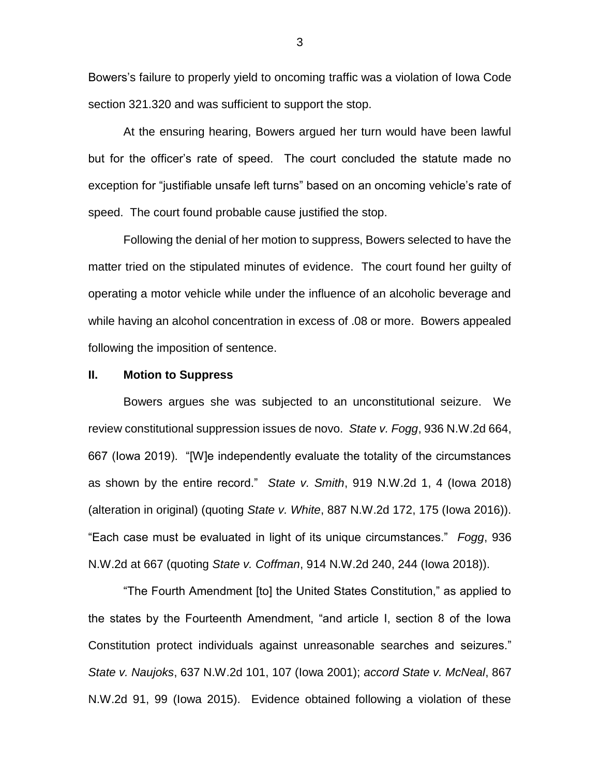Bowers's failure to properly yield to oncoming traffic was a violation of Iowa Code section 321.320 and was sufficient to support the stop.

At the ensuring hearing, Bowers argued her turn would have been lawful but for the officer's rate of speed. The court concluded the statute made no exception for "justifiable unsafe left turns" based on an oncoming vehicle's rate of speed. The court found probable cause justified the stop.

Following the denial of her motion to suppress, Bowers selected to have the matter tried on the stipulated minutes of evidence. The court found her guilty of operating a motor vehicle while under the influence of an alcoholic beverage and while having an alcohol concentration in excess of .08 or more. Bowers appealed following the imposition of sentence.

#### **II. Motion to Suppress**

Bowers argues she was subjected to an unconstitutional seizure. We review constitutional suppression issues de novo. *State v. Fogg*, 936 N.W.2d 664, 667 (Iowa 2019). "[W]e independently evaluate the totality of the circumstances as shown by the entire record." *State v. Smith*, 919 N.W.2d 1, 4 (Iowa 2018) (alteration in original) (quoting *State v. White*, 887 N.W.2d 172, 175 (Iowa 2016)). "Each case must be evaluated in light of its unique circumstances." *Fogg*, 936 N.W.2d at 667 (quoting *State v. Coffman*, 914 N.W.2d 240, 244 (Iowa 2018)).

"The Fourth Amendment [to] the United States Constitution," as applied to the states by the Fourteenth Amendment, "and article I, section 8 of the Iowa Constitution protect individuals against unreasonable searches and seizures." *State v. Naujoks*, 637 N.W.2d 101, 107 (Iowa 2001); *accord State v. McNeal*, 867 N.W.2d 91, 99 (Iowa 2015). Evidence obtained following a violation of these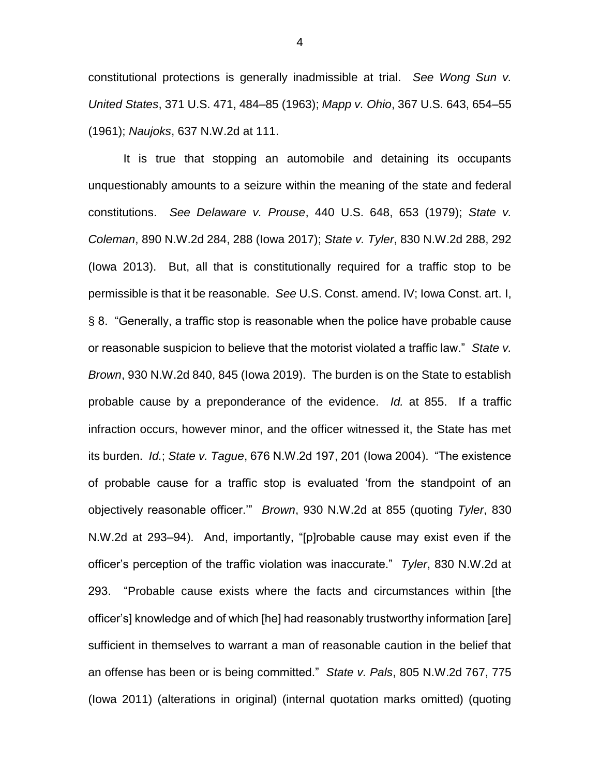constitutional protections is generally inadmissible at trial. *See Wong Sun v. United States*, 371 U.S. 471, 484–85 (1963); *Mapp v. Ohio*, 367 U.S. 643, 654–55 (1961); *Naujoks*, 637 N.W.2d at 111.

It is true that stopping an automobile and detaining its occupants unquestionably amounts to a seizure within the meaning of the state and federal constitutions. *See Delaware v. Prouse*, 440 U.S. 648, 653 (1979); *State v. Coleman*, 890 N.W.2d 284, 288 (Iowa 2017); *State v. Tyler*, 830 N.W.2d 288, 292 (Iowa 2013). But, all that is constitutionally required for a traffic stop to be permissible is that it be reasonable. *See* U.S. Const. amend. IV; Iowa Const. art. I, § 8. "Generally, a traffic stop is reasonable when the police have probable cause or reasonable suspicion to believe that the motorist violated a traffic law." *State v. Brown*, 930 N.W.2d 840, 845 (Iowa 2019). The burden is on the State to establish probable cause by a preponderance of the evidence. *Id.* at 855. If a traffic infraction occurs, however minor, and the officer witnessed it, the State has met its burden. *Id.*; *State v. Tague*, 676 N.W.2d 197, 201 (Iowa 2004). "The existence of probable cause for a traffic stop is evaluated 'from the standpoint of an objectively reasonable officer.'" *Brown*, 930 N.W.2d at 855 (quoting *Tyler*, 830 N.W.2d at 293–94). And, importantly, "[p]robable cause may exist even if the officer's perception of the traffic violation was inaccurate." *Tyler*, 830 N.W.2d at 293. "Probable cause exists where the facts and circumstances within [the officer's] knowledge and of which [he] had reasonably trustworthy information [are] sufficient in themselves to warrant a man of reasonable caution in the belief that an offense has been or is being committed." *State v. Pals*, 805 N.W.2d 767, 775 (Iowa 2011) (alterations in original) (internal quotation marks omitted) (quoting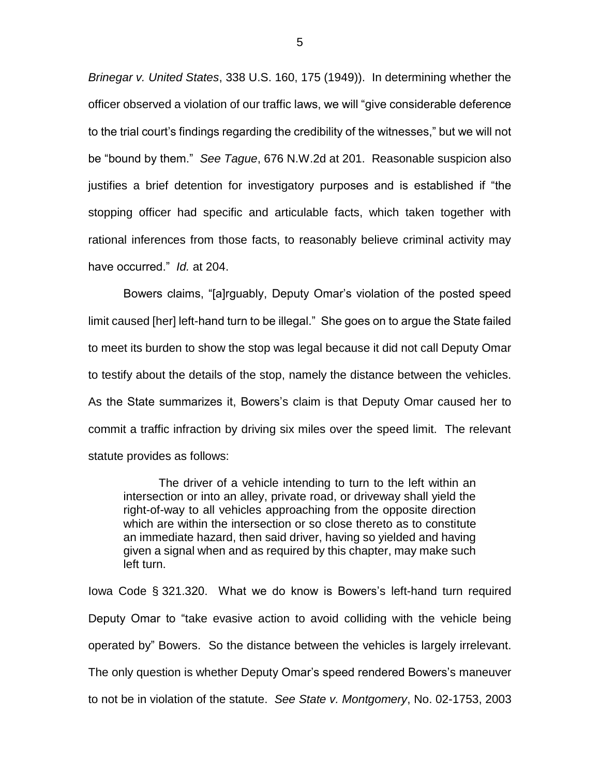*Brinegar v. United States*, 338 U.S. 160, 175 (1949)). In determining whether the officer observed a violation of our traffic laws, we will "give considerable deference to the trial court's findings regarding the credibility of the witnesses," but we will not be "bound by them." *See Tague*, 676 N.W.2d at 201. Reasonable suspicion also justifies a brief detention for investigatory purposes and is established if "the stopping officer had specific and articulable facts, which taken together with rational inferences from those facts, to reasonably believe criminal activity may have occurred." *Id.* at 204.

Bowers claims, "[a]rguably, Deputy Omar's violation of the posted speed limit caused [her] left-hand turn to be illegal." She goes on to argue the State failed to meet its burden to show the stop was legal because it did not call Deputy Omar to testify about the details of the stop, namely the distance between the vehicles. As the State summarizes it, Bowers's claim is that Deputy Omar caused her to commit a traffic infraction by driving six miles over the speed limit. The relevant statute provides as follows:

The driver of a vehicle intending to turn to the left within an intersection or into an alley, private road, or driveway shall yield the right-of-way to all vehicles approaching from the opposite direction which are within the intersection or so close thereto as to constitute an immediate hazard, then said driver, having so yielded and having given a signal when and as required by this chapter, may make such left turn.

Iowa Code § 321.320. What we do know is Bowers's left-hand turn required Deputy Omar to "take evasive action to avoid colliding with the vehicle being operated by" Bowers. So the distance between the vehicles is largely irrelevant. The only question is whether Deputy Omar's speed rendered Bowers's maneuver to not be in violation of the statute. *See State v. Montgomery*, No. 02-1753, 2003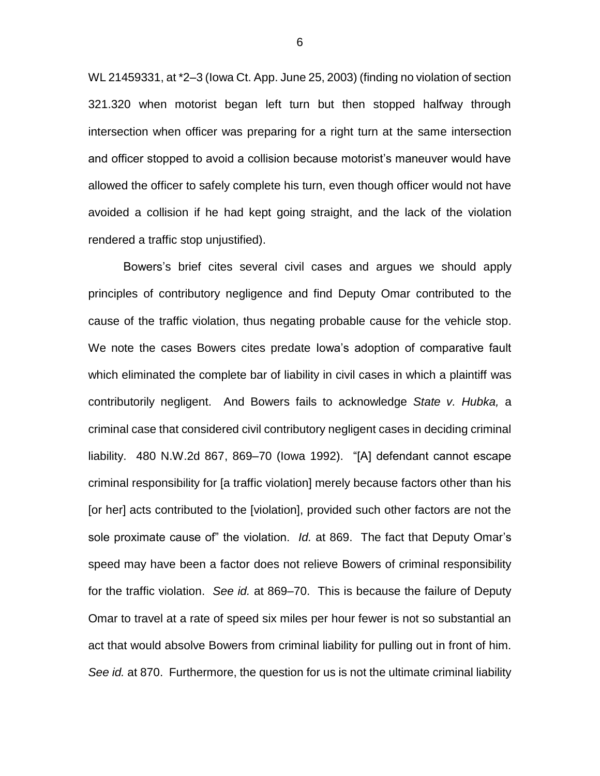WL 21459331, at \*2–3 (Iowa Ct. App. June 25, 2003) (finding no violation of section 321.320 when motorist began left turn but then stopped halfway through intersection when officer was preparing for a right turn at the same intersection and officer stopped to avoid a collision because motorist's maneuver would have allowed the officer to safely complete his turn, even though officer would not have avoided a collision if he had kept going straight, and the lack of the violation rendered a traffic stop unjustified).

Bowers's brief cites several civil cases and argues we should apply principles of contributory negligence and find Deputy Omar contributed to the cause of the traffic violation, thus negating probable cause for the vehicle stop. We note the cases Bowers cites predate Iowa's adoption of comparative fault which eliminated the complete bar of liability in civil cases in which a plaintiff was contributorily negligent. And Bowers fails to acknowledge *State v. Hubka,* a criminal case that considered civil contributory negligent cases in deciding criminal liability. 480 N.W.2d 867, 869–70 (Iowa 1992). "[A] defendant cannot escape criminal responsibility for [a traffic violation] merely because factors other than his [or her] acts contributed to the [violation], provided such other factors are not the sole proximate cause of" the violation. *Id.* at 869. The fact that Deputy Omar's speed may have been a factor does not relieve Bowers of criminal responsibility for the traffic violation. *See id.* at 869–70. This is because the failure of Deputy Omar to travel at a rate of speed six miles per hour fewer is not so substantial an act that would absolve Bowers from criminal liability for pulling out in front of him. *See id.* at 870. Furthermore, the question for us is not the ultimate criminal liability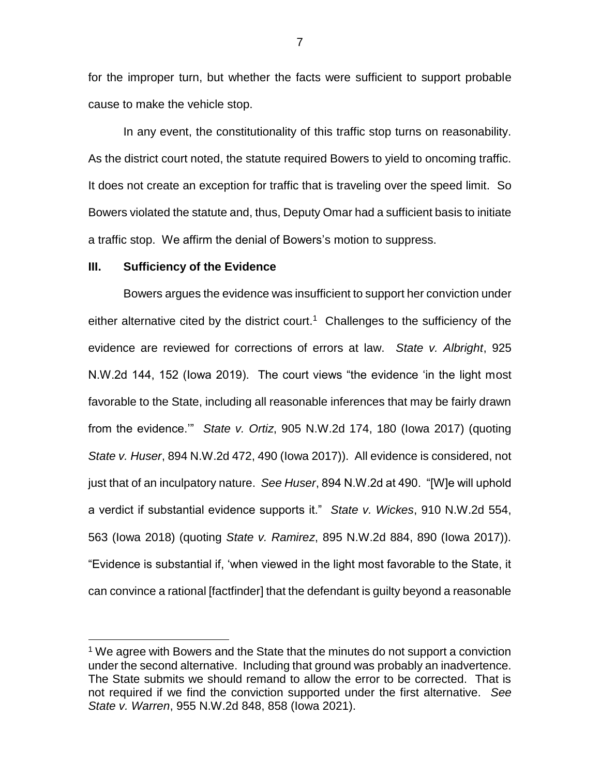for the improper turn, but whether the facts were sufficient to support probable cause to make the vehicle stop.

In any event, the constitutionality of this traffic stop turns on reasonability. As the district court noted, the statute required Bowers to yield to oncoming traffic. It does not create an exception for traffic that is traveling over the speed limit. So Bowers violated the statute and, thus, Deputy Omar had a sufficient basis to initiate a traffic stop. We affirm the denial of Bowers's motion to suppress.

#### **III. Sufficiency of the Evidence**

 $\overline{a}$ 

Bowers argues the evidence was insufficient to support her conviction under either alternative cited by the district court.<sup>1</sup> Challenges to the sufficiency of the evidence are reviewed for corrections of errors at law. *State v. Albright*, 925 N.W.2d 144, 152 (Iowa 2019). The court views "the evidence 'in the light most favorable to the State, including all reasonable inferences that may be fairly drawn from the evidence.'" *State v. Ortiz*, 905 N.W.2d 174, 180 (Iowa 2017) (quoting *State v. Huser*, 894 N.W.2d 472, 490 (Iowa 2017)). All evidence is considered, not just that of an inculpatory nature. *See Huser*, 894 N.W.2d at 490. "[W]e will uphold a verdict if substantial evidence supports it." *State v. Wickes*, 910 N.W.2d 554, 563 (Iowa 2018) (quoting *State v. Ramirez*, 895 N.W.2d 884, 890 (Iowa 2017)). "Evidence is substantial if, 'when viewed in the light most favorable to the State, it can convince a rational [factfinder] that the defendant is guilty beyond a reasonable

<sup>&</sup>lt;sup>1</sup> We agree with Bowers and the State that the minutes do not support a conviction under the second alternative. Including that ground was probably an inadvertence. The State submits we should remand to allow the error to be corrected. That is not required if we find the conviction supported under the first alternative. *See State v. Warren*, 955 N.W.2d 848, 858 (Iowa 2021).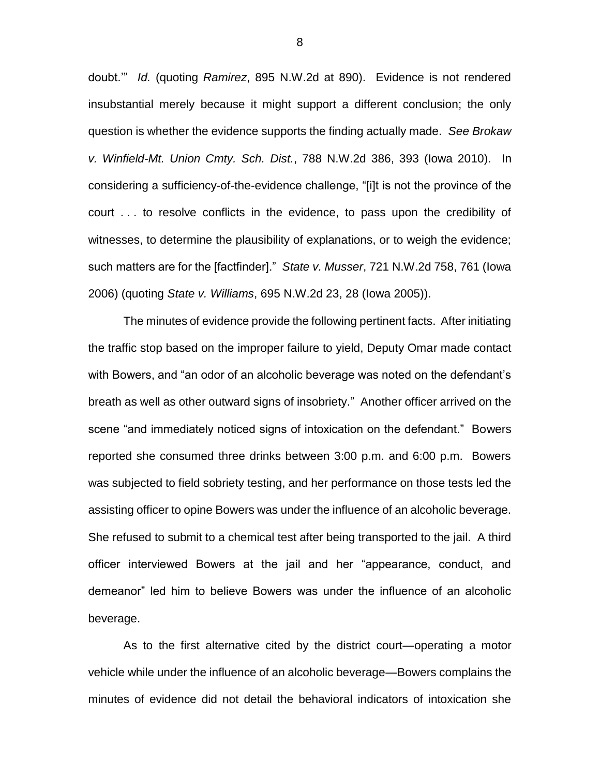doubt.'" *Id.* (quoting *Ramirez*, 895 N.W.2d at 890). Evidence is not rendered insubstantial merely because it might support a different conclusion; the only question is whether the evidence supports the finding actually made. *See Brokaw v. Winfield-Mt. Union Cmty. Sch. Dist.*, 788 N.W.2d 386, 393 (Iowa 2010). In considering a sufficiency-of-the-evidence challenge, "[i]t is not the province of the court . . . to resolve conflicts in the evidence, to pass upon the credibility of witnesses, to determine the plausibility of explanations, or to weigh the evidence; such matters are for the [factfinder]." *State v. Musser*, 721 N.W.2d 758, 761 (Iowa 2006) (quoting *State v. Williams*, 695 N.W.2d 23, 28 (Iowa 2005)).

The minutes of evidence provide the following pertinent facts. After initiating the traffic stop based on the improper failure to yield, Deputy Omar made contact with Bowers, and "an odor of an alcoholic beverage was noted on the defendant's breath as well as other outward signs of insobriety." Another officer arrived on the scene "and immediately noticed signs of intoxication on the defendant." Bowers reported she consumed three drinks between 3:00 p.m. and 6:00 p.m. Bowers was subjected to field sobriety testing, and her performance on those tests led the assisting officer to opine Bowers was under the influence of an alcoholic beverage. She refused to submit to a chemical test after being transported to the jail. A third officer interviewed Bowers at the jail and her "appearance, conduct, and demeanor" led him to believe Bowers was under the influence of an alcoholic beverage.

As to the first alternative cited by the district court—operating a motor vehicle while under the influence of an alcoholic beverage—Bowers complains the minutes of evidence did not detail the behavioral indicators of intoxication she